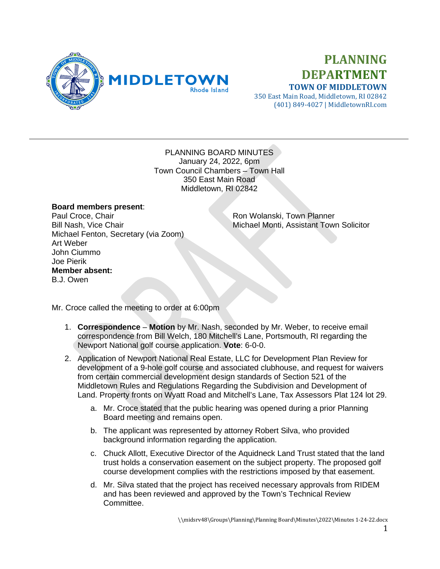

## **PLANNING DEPARTMENT TOWN OF MIDDLETOWN**

350 East Main Road, Middletown, RI 02842 (401) 849-4027 | MiddletownRI.com

## PLANNING BOARD MINUTES January 24, 2022, 6pm Town Council Chambers – Town Hall 350 East Main Road Middletown, RI 02842

## **Board members present**:

Paul Croce, Chair **Paul Croce, Chair** Ron Wolanski, Town Planner<br>Bill Nash, Vice Chair **Ron Ron Richael Monti, Assistant Town** Michael Fenton, Secretary (via Zoom) Art Weber John Ciummo Joe Pierik **Member absent:** B.J. Owen

Michael Monti, Assistant Town Solicitor

Mr. Croce called the meeting to order at 6:00pm

- 1. **Correspondence Motion** by Mr. Nash, seconded by Mr. Weber, to receive email correspondence from Bill Welch, 180 Mitchell's Lane, Portsmouth, RI regarding the Newport National golf course application. **Vote**: 6-0-0.
- 2. Application of Newport National Real Estate, LLC for Development Plan Review for development of a 9-hole golf course and associated clubhouse, and request for waivers from certain commercial development design standards of Section 521 of the Middletown Rules and Regulations Regarding the Subdivision and Development of Land. Property fronts on Wyatt Road and Mitchell's Lane, Tax Assessors Plat 124 lot 29.
	- a. Mr. Croce stated that the public hearing was opened during a prior Planning Board meeting and remains open.
	- b. The applicant was represented by attorney Robert Silva, who provided background information regarding the application.
	- c. Chuck Allott, Executive Director of the Aquidneck Land Trust stated that the land trust holds a conservation easement on the subject property. The proposed golf course development complies with the restrictions imposed by that easement.
	- d. Mr. Silva stated that the project has received necessary approvals from RIDEM and has been reviewed and approved by the Town's Technical Review Committee.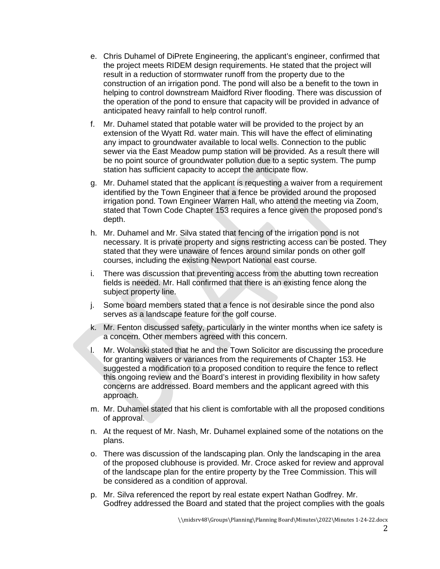- e. Chris Duhamel of DiPrete Engineering, the applicant's engineer, confirmed that the project meets RIDEM design requirements. He stated that the project will result in a reduction of stormwater runoff from the property due to the construction of an irrigation pond. The pond will also be a benefit to the town in helping to control downstream Maidford River flooding. There was discussion of the operation of the pond to ensure that capacity will be provided in advance of anticipated heavy rainfall to help control runoff.
- f. Mr. Duhamel stated that potable water will be provided to the project by an extension of the Wyatt Rd. water main. This will have the effect of eliminating any impact to groundwater available to local wells. Connection to the public sewer via the East Meadow pump station will be provided. As a result there will be no point source of groundwater pollution due to a septic system. The pump station has sufficient capacity to accept the anticipate flow.
- g. Mr. Duhamel stated that the applicant is requesting a waiver from a requirement identified by the Town Engineer that a fence be provided around the proposed irrigation pond. Town Engineer Warren Hall, who attend the meeting via Zoom, stated that Town Code Chapter 153 requires a fence given the proposed pond's depth.
- h. Mr. Duhamel and Mr. Silva stated that fencing of the irrigation pond is not necessary. It is private property and signs restricting access can be posted. They stated that they were unaware of fences around similar ponds on other golf courses, including the existing Newport National east course.
- i. There was discussion that preventing access from the abutting town recreation fields is needed. Mr. Hall confirmed that there is an existing fence along the subject property line.
- j. Some board members stated that a fence is not desirable since the pond also serves as a landscape feature for the golf course.
- k. Mr. Fenton discussed safety, particularly in the winter months when ice safety is a concern. Other members agreed with this concern.
- l. Mr. Wolanski stated that he and the Town Solicitor are discussing the procedure for granting waivers or variances from the requirements of Chapter 153. He suggested a modification to a proposed condition to require the fence to reflect this ongoing review and the Board's interest in providing flexibility in how safety concerns are addressed. Board members and the applicant agreed with this approach.
- m. Mr. Duhamel stated that his client is comfortable with all the proposed conditions of approval.
- n. At the request of Mr. Nash, Mr. Duhamel explained some of the notations on the plans.
- o. There was discussion of the landscaping plan. Only the landscaping in the area of the proposed clubhouse is provided. Mr. Croce asked for review and approval of the landscape plan for the entire property by the Tree Commission. This will be considered as a condition of approval.
- p. Mr. Silva referenced the report by real estate expert Nathan Godfrey. Mr. Godfrey addressed the Board and stated that the project complies with the goals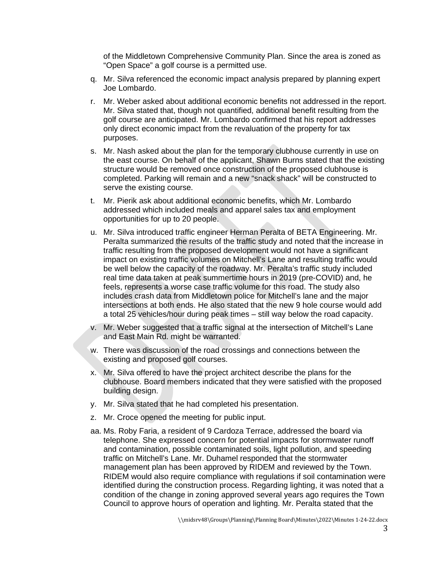of the Middletown Comprehensive Community Plan. Since the area is zoned as "Open Space" a golf course is a permitted use.

- q. Mr. Silva referenced the economic impact analysis prepared by planning expert Joe Lombardo.
- r. Mr. Weber asked about additional economic benefits not addressed in the report. Mr. Silva stated that, though not quantified, additional benefit resulting from the golf course are anticipated. Mr. Lombardo confirmed that his report addresses only direct economic impact from the revaluation of the property for tax purposes.
- s. Mr. Nash asked about the plan for the temporary clubhouse currently in use on the east course. On behalf of the applicant, Shawn Burns stated that the existing structure would be removed once construction of the proposed clubhouse is completed. Parking will remain and a new "snack shack" will be constructed to serve the existing course.
- t. Mr. Pierik ask about additional economic benefits, which Mr. Lombardo addressed which included meals and apparel sales tax and employment opportunities for up to 20 people.
- u. Mr. Silva introduced traffic engineer Herman Peralta of BETA Engineering. Mr. Peralta summarized the results of the traffic study and noted that the increase in traffic resulting from the proposed development would not have a significant impact on existing traffic volumes on Mitchell's Lane and resulting traffic would be well below the capacity of the roadway. Mr. Peralta's traffic study included real time data taken at peak summertime hours in 2019 (pre-COVID) and, he feels, represents a worse case traffic volume for this road. The study also includes crash data from Middletown police for Mitchell's lane and the major intersections at both ends. He also stated that the new 9 hole course would add a total 25 vehicles/hour during peak times – still way below the road capacity.
- v. Mr. Weber suggested that a traffic signal at the intersection of Mitchell's Lane and East Main Rd. might be warranted.
- w. There was discussion of the road crossings and connections between the existing and proposed golf courses.
- x. Mr. Silva offered to have the project architect describe the plans for the clubhouse. Board members indicated that they were satisfied with the proposed building design.
- y. Mr. Silva stated that he had completed his presentation.
- z. Mr. Croce opened the meeting for public input.
- aa. Ms. Roby Faria, a resident of 9 Cardoza Terrace, addressed the board via telephone. She expressed concern for potential impacts for stormwater runoff and contamination, possible contaminated soils, light pollution, and speeding traffic on Mitchell's Lane. Mr. Duhamel responded that the stormwater management plan has been approved by RIDEM and reviewed by the Town. RIDEM would also require compliance with regulations if soil contamination were identified during the construction process. Regarding lighting, it was noted that a condition of the change in zoning approved several years ago requires the Town Council to approve hours of operation and lighting. Mr. Peralta stated that the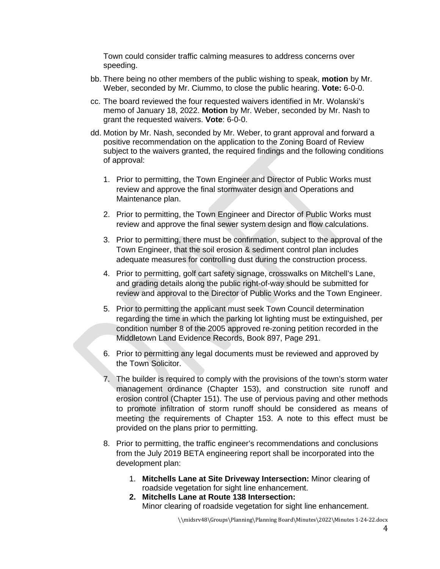Town could consider traffic calming measures to address concerns over speeding.

- bb. There being no other members of the public wishing to speak, **motion** by Mr. Weber, seconded by Mr. Ciummo, to close the public hearing. **Vote:** 6-0-0.
- cc. The board reviewed the four requested waivers identified in Mr. Wolanski's memo of January 18, 2022. **Motion** by Mr. Weber, seconded by Mr. Nash to grant the requested waivers. **Vote**: 6-0-0.
- dd. Motion by Mr. Nash, seconded by Mr. Weber, to grant approval and forward a positive recommendation on the application to the Zoning Board of Review subject to the waivers granted, the required findings and the following conditions of approval:
	- 1. Prior to permitting, the Town Engineer and Director of Public Works must review and approve the final stormwater design and Operations and Maintenance plan.
	- 2. Prior to permitting, the Town Engineer and Director of Public Works must review and approve the final sewer system design and flow calculations.
	- 3. Prior to permitting, there must be confirmation, subject to the approval of the Town Engineer, that the soil erosion & sediment control plan includes adequate measures for controlling dust during the construction process.
	- 4. Prior to permitting, golf cart safety signage, crosswalks on Mitchell's Lane, and grading details along the public right-of-way should be submitted for review and approval to the Director of Public Works and the Town Engineer.
	- 5. Prior to permitting the applicant must seek Town Council determination regarding the time in which the parking lot lighting must be extinguished, per condition number 8 of the 2005 approved re-zoning petition recorded in the Middletown Land Evidence Records, Book 897, Page 291.
	- 6. Prior to permitting any legal documents must be reviewed and approved by the Town Solicitor.
	- 7. The builder is required to comply with the provisions of the town's storm water management ordinance (Chapter 153), and construction site runoff and erosion control (Chapter 151). The use of pervious paving and other methods to promote infiltration of storm runoff should be considered as means of meeting the requirements of Chapter 153. A note to this effect must be provided on the plans prior to permitting.
	- 8. Prior to permitting, the traffic engineer's recommendations and conclusions from the July 2019 BETA engineering report shall be incorporated into the development plan:
		- 1. **Mitchells Lane at Site Driveway Intersection:** Minor clearing of roadside vegetation for sight line enhancement.
		- **2. Mitchells Lane at Route 138 Intersection:** Minor clearing of roadside vegetation for sight line enhancement.